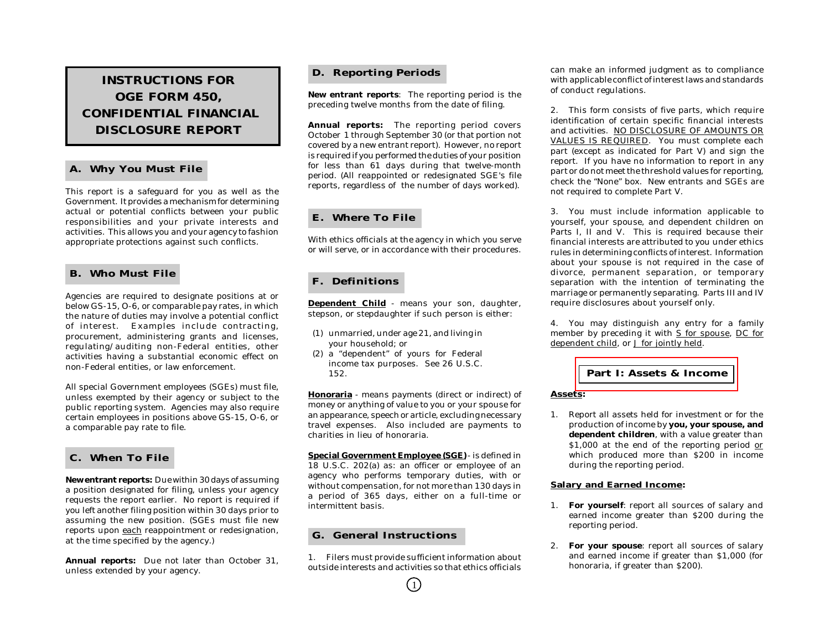# **OGE FORM 450, See Section Section SECONFIDENTIAL FINANCIAL**<br> **CONFIDENTIAL FINANCIAL**<br> **EXELOSURE REPORT** Annual reports: The reporting period covers identification of certain specific financial interests<br> **EXELOSURE REPO**

Government. It provides a mechanism for determining

Agencies are required to designate positions at or<br>
below GS-15, O-6, or comparable pay rates, in which<br>
the nature of duties may involve a potential conflict<br>
of interest. Examples include contracting,<br>
procurement, admin

All special Government employees (SGEs) must file,<br>
unless exempted by their agency or subject to the **Honoraria** - means payments (direct or indirect) of **Assets:**<br>
money or anything of value to you or your spouse for<br> **A** public reporting system. Agencies may also require money or anything of value to you or your spouse for<br>certain employees in positions above GS-15, O-6, or an appearance, speech or article, excluding necessary

Exercise the report entirely the report intermed intermittent basis.<br>
you left another filing position within 30 days prior to<br>
assuming the new position. (SGEs must file new<br>
reports upon <u>each</u> reappointment or redesigna

- 
- 152. **[Part I: Assets & Income](#page-3-0)**

**C. When To File Special Government Employee (SGE)** - is defined in which produced more than \$200 in income 18 U.S.C. 202(a) as: an officer or employee of an during the reporting period. 18 U.S.C. 202(a) as: an officer or employee of an **New entrant reports:** Due within 30 days of assuming agency who performs temporary duties, with or<br>a position designated for filing, unless your agency without compensation, for not more than 130 days in **Salary and Earne** 

 $\left(1\right)$ 

**INSTRUCTIONS FOR D. Reporting Periods can make an informed judgment as to compliance INSTRUCTIONS FOR D. Reporting Periods compliants** with applicable conflict of interest laws and standards

**EXELOSURE REPORT**<br>
October 1 through September 30 (or that portion not<br>
sequired if you performed the duties of your position<br>
A. **Why You Must File**<br>
Sime the through September 30 (or that portion not<br>
is required if you

actual or potential conflicts between your public **3.** You must include information applicable to responsibilities and your private interests and **E. Where To File** 3. You must include information applicable to responsibil activities. This is required because their<br>appropriate protections against such conflicts. With ethics officials at the agency in which you serve financial interests are attributed to you under ethics<br>or will serve, or in about your spouse is not required in the case of **B. Who Must File B. Who Must File divorce, permanent separation, or temporary F. Definitions divorce, permanent separation**, or temporary separation with the intention of terminating the

certain employees in positions above GS-15, O-6, or an appearance, speech or article, excluding necessary and<br>a comparable pay rate to file. The travel expenses. Also included are payments to production of income by **you,** \$1,000 at the end of the reporting period or

- 
- **For your spouse**: report all sources of salary **Annual reports:** Due not later than October 31, <br>unless extended by your agency. butside interests and activities so that ethics officials honoraria, if greater than \$200).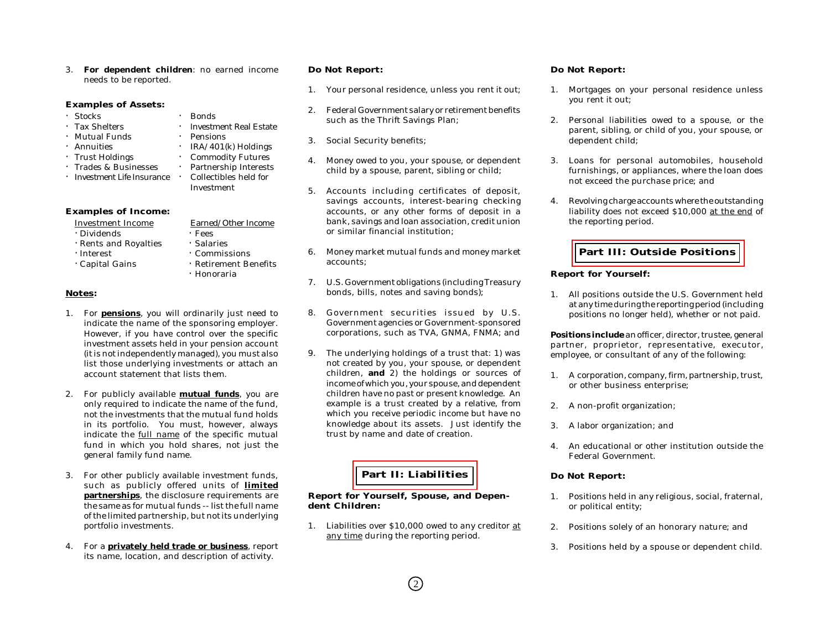3. **For dependent children**: no earned income **Do Not Report: Do Not Report:**  needs to be reported.

 $IRA/401(k)$  Holdings

- 
- 
- Mutual Funds<br>• Annuities
- 
- 
- 
- 
- 

| <b>Investment Income</b> | Earned/Ot  |
|--------------------------|------------|
| • Dividends              | • Fees     |
| Rents and Royalties      | · Salaries |

- 
- 
- 

- 1. For **pensions**, you will ordinarily just need to list those underlying investments or attach an
- 2. For publicly available **mutual funds**, you are children have no past or present knowledge. An indicate the full name of the specific mutual fund in which you hold shares, not just the 4. An educational or other institution outside the 4. general family fund name. Federal Government.
- 3. For other publicly available investment funds, **[Part II: Liabilities](#page-4-0) | Do Not Report: Do Not Report: Do Not Report: Part II: Liabilities** | **Do Not Report: Do Not Report: Part II: Liabilities** | **Do Not Report** such as publicly offered units of **limited partnerships**, the disclosure requirements are the same as for mutual funds -- list the full name **dent Children:** or political entity; of the limited partnership, but not its underlying portfolio investments. The same controller states of any creditor at the controller states of an honorary nature; and
- 4. For a **privately held trade or business**, report its name, location, and description of activity.

- 1. Your personal residence, unless you rent it out;
- you rent it out; **Examples of Assets:** 2. Federal Government salary or retirement benefits • Stocks • Bonds • Bonds • Such as the Thrift Savings Plan; 2. Personal liabilities owed to a spouse, or the such as the Thrift Savings Plan; 2. Personal liabilities owed to a spouse, or the such as the Thrift Savings Plan
	- Social Security benefits; dependent child;
- · Trust Holdings · Commodity Futures 4.
- savings accounts, interest-bearing checking 4. Revolving charge accounts where the outstanding<br>accounts, or any other forms of deposit in a liability does not exceed \$10,000 at the end of **Examples of Income:** accounts, or any other forms of deposit in a liability does not exceed \$10,000 at the end of hypestment Income **Examples of Income Examples Examples Examples Examples Examples Examples E** Investment Income Earned/Other Income bank, savings and loan association, credit union • Fees or similar financial institution;
	- Interest **19 Commissions** 6. Money market mutual funds and money market **Part III: Outside Positions** · Capital Gains · Retirement Benefits accounts;
- 7. U.S. Government obligations (including Treasury **Notes: bonds**, bills, notes and saving bonds);
	- 8. Government securities issued by U.S. positions no longer held), whether or not paid.<br>Government agencies or Government-sponsored indicate the name of the sponsoring employer. Government agencies or Government-sponsored<br>However, if you have control over the specific corporations, such as TVA, GNMA, FNMA; and
	- The underlying holdings of a trust that: 1) was employee, or consultant of any of the following:<br>not created by you, your spouse, or dependent account statement that lists them. children, **and** 2) the holdings or sources of income of which you, your spouse, and dependent or other business enterprise;<br>
	children have no past or present knowledge. An only required to indicate the name of the fund, example is a trust created by a relative, from 2. A non-profit organization;<br>not the investments that the mutual fund holds which you receive periodic income but have no which you receive periodic income but have no in its portfolio. You must, however, always knowledge about its assets. Just identify the 3. A labor organization; and indicate the full name of the specific mutual trust by name and date of creation.

any time during the reporting period.

- 1. Mortgages on your personal residence unless
- Investment Real Estate<br>
Pensions<br>
Pensions
or Cariel Security barefits:<br>
Pensions
or child of you, your spouse, or
- 3. Loans for personal automobiles, household · Trades & Businesses · Partnership Interests child by a spouse, parent, sibling or child; furnishings, or appliances, where the loan does in the loan does in the loan does in the loan does in the loan does in the loan doe • Investment Life Insurance • Collectibles held for not exceed the purchase price; and Investment 5. Accounts including certificates of deposit,
	-

### · Honoraria **Report for Yourself:**

 All positions outside the U.S. Government held at any time during the reporting period (including

However, if you have control over the specific corporations, such as TVA, GNMA, FNMA; and **Positions include** an officer, director, trustee, general investment assets held in your pension account<br>(it is not independently managed), you must also  $\begin{array}{c} 9. \end{array}$  The underlying holdings of a trust that: 1) was employee, or consultant of any of the following:

- A corporation, company, firm, partnership, trust,
- 
- 
- 

- **Report for Yourself, Spouse, and Depen-** 1. Positions held in any religious, social, fraternal, **dent Children:** 0. positions held in any religious, social, fraternal, **dent Children:** 
	-
	- 3. Positions held by a spouse or dependent child.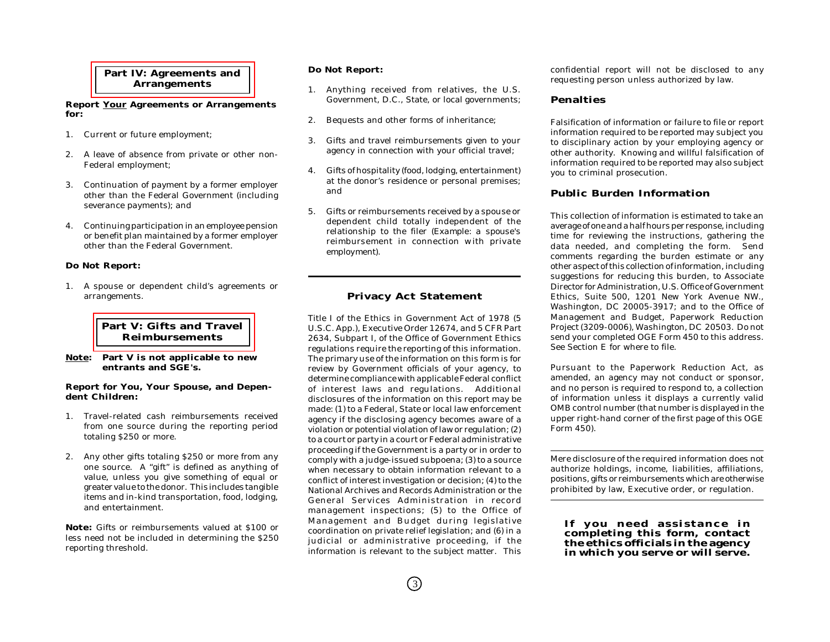# **Do Not Report: [Part IV: Agreements and](#page-4-2)  Arrangements**

# **for:** 2.

- 1. Current or future employment;
- 
- other than the Federal Government (including and **other than the Federal Government (including and other than the Federal Government (including and and set of the Public Burden Information** severance payments); and  $\overline{5}$ . Gifts or reimbursements received by a spouse or
- 

1. A spouse or dependent child's agreements or

# **[Part V: Gifts and Travel](#page-4-3)Reimbursements**

**Note:** Part V is not applicable to new

- 1. Travel-related cash reimbursements received
- 

- 1. Anything received from relatives, the U.S. Government, D.C., State, or local governments; **Penalties Report Your Agreements or Arrangements** 
	- Bequests and other forms of inheritance; Falsification of information or failure to file or report
	-
- Federal employment; information required to be reported to be reported to be reported may also subject 4. Cifts of hospitality (food, lodging, entertainment) would be reported to be reported may also subject 4. Gifts of ho Gifts of hospitality (food, lodging, entertainment) you to criminal prosecution. at the donor's residence or personal premises; 3.
- S. Gifts or reimbursements received by a spouse or<br>A. Continuing participation in an employee pension<br>relationship to the filer *(Example: a spouse's* and a half hours per response, including<br>relationship to the filer *(Ex*

U.S.C. App.), Executive Order 12674, and 5 CFR Part Project (3209-0006), Washington, DC 20503. Do not 2634, Subpart I, of the Office of Government Ethics send your completed OGE Form<br>regulations require the reporting of this information. See Section E for where to file. regulations require the reporting of this information. **Part V is not applicable to new** The primary use of the information on this form is for<br> **Part V is not applicable to new**  $\frac{1}{2}$  review by Covernment officials of your agency to **review by Government officials of your agency, to** Pursuant to the Paperwork Reduction Act, as determine compliance with applicable Federal conflict amended, an agency may not conduct or sponsor, determine compliance with applicable Federal conflict amended, an agency may not conduct or sponsor,<br>of interest laws and regulations. Additional and no person is required to respond to, a collection **Report for You, Your Spouse, and Depen-** of interest laws and regulations. Additional and no person is required to respond to, a collection dent Children: disclosures of the information on this report may be of informatio made: (1) to a Federal, State or local law enforcement OMB control number (that number is displayed in the agency if the disclosing agency becomes aware of a upper right-hand corner of the first page of this OGE Fravel-related cash reimbursements received<br>from one source during the reporting period violation or potential violation of law or regulation; (2) Form 450).<br>to a court or party in a court or Federal administrative<br>to a co proceeding if the Government is a party or in order to 2. Any other gifts totaling \$250 or more from any comply with a judge issued subpoana; (3) to a source Any other gifts totaling \$250 or more from any comply with a judge-issued subpoena; (3) to a source Mere disclosure of the required information does not one source. A "gift" is defined as anything of when necessary to obta one source. A "gift" is defined as anything of when necessary to obtain information relevant to a authorize holdings, income, liabilities, affiliations, conflict of interest investigation or decision; (4) to the positions, items and in-kind transportation, food, lodging,<br>and entertainment.<br>The cord Services Administration in record management inspections; (5) to the Office of Note: Gifts or reimbursements valued at \$100 or Management and Budget during legislative **and information in the metal assistance in**<br>less need not be included in determining the \$250 direct in the subject matter. This **co** 

confidential report will not be disclosed to any requesting person unless authorized by law.

information required to be reported may subject you<br>3. Gifts and travel reimbursements given to your to disciplinary action by your employing agency or agency in connection with your official travel; but a set of the authority. Knowing and willful falsification of 2. A leave of absence from private or other non-<br>Federal employment: other authority. Knowing and willful falsification of<br>information required to be reported may also subject

Continuing participation in an employee pension<br>or benefit plan maintained by a former employer<br>other than the Federal Government.<br>other than the Federal Government.<br>employment).<br>employment).<br>employment.<br>comments regarding **Do Not Report: Do Not Report: other aspect of this collection of information**, including suggestions for reducing this burden, to Associate A spouse or dependent child's agreements or **Privacy Act Statement** Director for Administration, U.S. Office of Government arrangements.<br>**Privacy Act Statement** Ethics, Suite 500, 1201 New York Avenue NW., Ethics, Suite 500, 1201 New York Avenue NW., Washington, DC 20005-3917; and to the Office of Title I of the Ethics in Government Act of 1978 (5 Management and Budget, Paperwork Reduction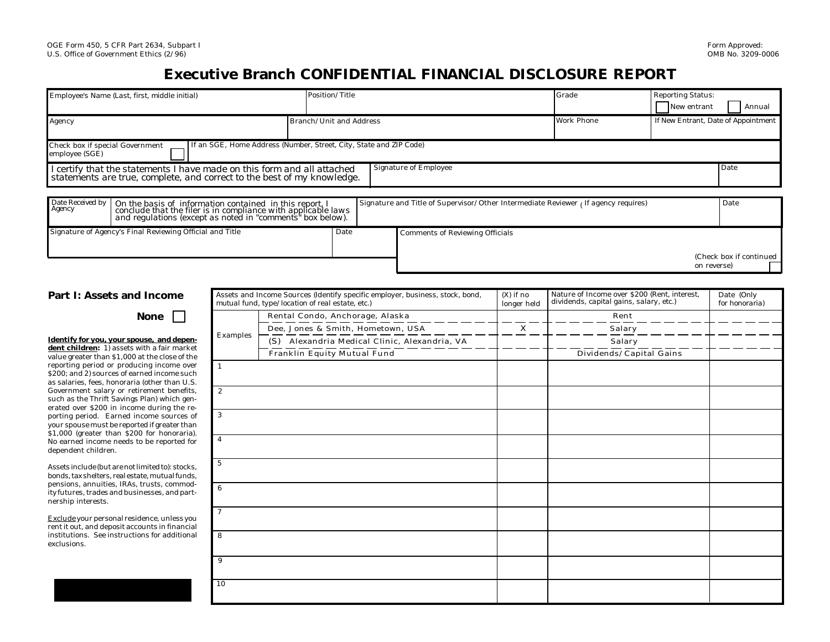# **Executive Branch CONFIDENTIAL FINANCIAL DISCLOSURE REPORT**

<span id="page-3-0"></span>

| Employee's Name (Last, first, middle initial)                                                                                                      | Position/Title               |  | Grade             | <b>Reporting Status:</b><br>New entrant<br>Annual |  |
|----------------------------------------------------------------------------------------------------------------------------------------------------|------------------------------|--|-------------------|---------------------------------------------------|--|
| Branch/Unit and Address<br>Agency                                                                                                                  |                              |  | <b>Work Phone</b> | If New Entrant, Date of Appointment               |  |
| If an SGE, Home Address (Number, Street, City, State and ZIP Code)<br>Check box if special Government<br>employee (SGE)                            |                              |  |                   |                                                   |  |
| I certify that the statements I have made on this form and all attached<br>statements are true, complete, and correct to the best of my knowledge. | <b>Signature of Employee</b> |  |                   |                                                   |  |

| Date Received by<br>Agency | On the basis of information contained in this report, I<br>conclude that the filer is in compliance with applicable laws<br>and regulations (except as noted in "comments" box below). |      |  | Signature and Title of Supervisor/Other Intermediate Reviewer (If agency requires) | Date                                    |
|----------------------------|----------------------------------------------------------------------------------------------------------------------------------------------------------------------------------------|------|--|------------------------------------------------------------------------------------|-----------------------------------------|
|                            | Signature of Agency's Final Reviewing Official and Title                                                                                                                               | Date |  | <b>Comments of Reviewing Officials</b>                                             |                                         |
|                            |                                                                                                                                                                                        |      |  |                                                                                    | (Check box if continued)<br>on reverse) |

# **Part I: Assets and Income**

**None** 

**Identify for you, your spouse, and dependent children:** 1) assets with a fair market value greater than \$1,000 at the close of the reporting period or producing income over \$200; and 2) sources of earned income such as salaries, fees, honoraria (other than U.S. Government salary or retirement benefits, such as the Thrift Savings Plan) which generated over \$200 in income during the reporting period. Earned income sources of your spouse must be reported if greater than \$1,000 (greater than \$200 for honoraria). No earned income needs to be reported for dependent children.

Assets include (but are not limited to): stocks, bonds, tax shelters, real estate, mutual funds, pensions, annuities, IRAs, trusts, commodity futures, trades and businesses, and partnership interests.

Exclude your personal residence, unless you rent it out, and deposit accounts in financial institutions. See instructions for additional exclusions.

|                 | Assets and Income Sources (Identify specific employer, business, stock, bond,<br>mutual fund, type/location of real estate, etc.) | $(X)$ if no<br>longer held | Nature of Income over \$200 (Rent, interest,<br>dividends, capital gains, salary, etc.) | Date (Only<br>for honoraria) |
|-----------------|-----------------------------------------------------------------------------------------------------------------------------------|----------------------------|-----------------------------------------------------------------------------------------|------------------------------|
|                 | Rental Condo, Anchorage, Alaska                                                                                                   |                            | Rent                                                                                    |                              |
| <b>Examples</b> | Dee, Jones & Smith, Hometown, USA                                                                                                 | $\mathbf X$                | Salary                                                                                  |                              |
|                 | (S) Alexandria Medical Clinic, Alexandria, VA                                                                                     |                            | Salary                                                                                  |                              |
|                 | Franklin Equity Mutual Fund                                                                                                       |                            | Dividends/Capital Gains                                                                 |                              |
| $\mathbf{1}$    |                                                                                                                                   |                            |                                                                                         |                              |
|                 |                                                                                                                                   |                            |                                                                                         |                              |
| $\overline{2}$  |                                                                                                                                   |                            |                                                                                         |                              |
| 3               |                                                                                                                                   |                            |                                                                                         |                              |
| $\overline{4}$  |                                                                                                                                   |                            |                                                                                         |                              |
| $\overline{5}$  |                                                                                                                                   |                            |                                                                                         |                              |
| 6               |                                                                                                                                   |                            |                                                                                         |                              |
| $\overline{7}$  |                                                                                                                                   |                            |                                                                                         |                              |
| $\overline{8}$  |                                                                                                                                   |                            |                                                                                         |                              |
| $\overline{9}$  |                                                                                                                                   |                            |                                                                                         |                              |
| 10              |                                                                                                                                   |                            |                                                                                         |                              |